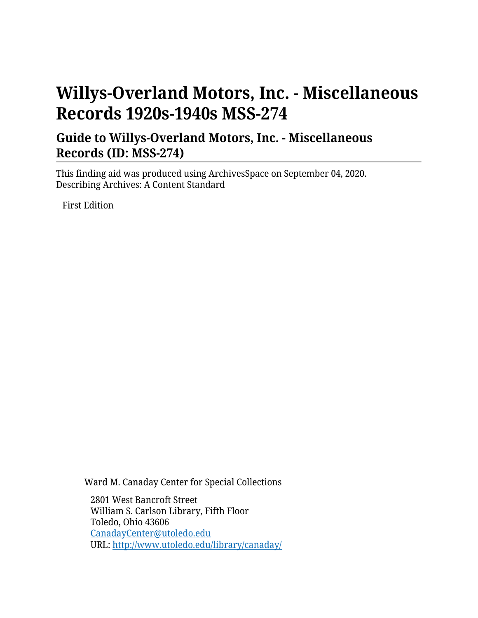# **Willys-Overland Motors, Inc. - Miscellaneous Records 1920s-1940s MSS-274**

### **Guide to Willys-Overland Motors, Inc. - Miscellaneous Records (ID: MSS-274)**

This finding aid was produced using ArchivesSpace on September 04, 2020. Describing Archives: A Content Standard

First Edition

Ward M. Canaday Center for Special Collections

2801 West Bancroft Street William S. Carlson Library, Fifth Floor Toledo, Ohio 43606 [CanadayCenter@utoledo.edu](mailto:CanadayCenter@utoledo.edu) URL:<http://www.utoledo.edu/library/canaday/>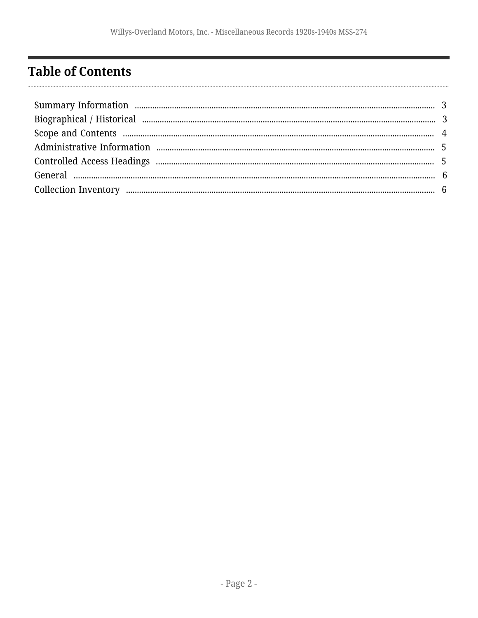# <span id="page-1-0"></span>**Table of Contents**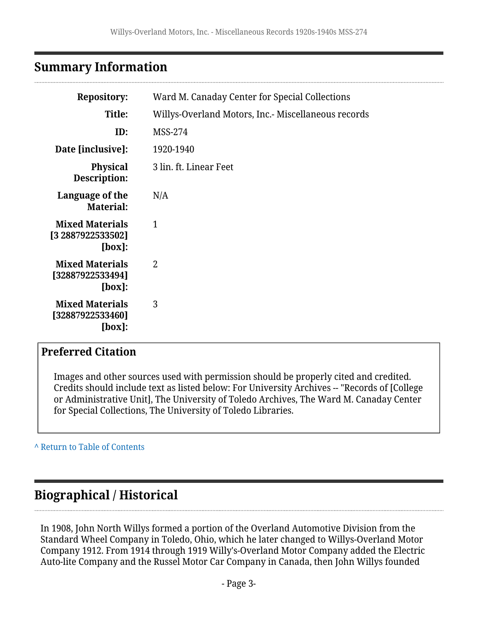### <span id="page-2-0"></span>**Summary Information**

| <b>Repository:</b>                                       | Ward M. Canaday Center for Special Collections      |
|----------------------------------------------------------|-----------------------------------------------------|
| Title:                                                   | Willys-Overland Motors, Inc.- Miscellaneous records |
| ID:                                                      | MSS-274                                             |
| Date [inclusive]:                                        | 1920-1940                                           |
| <b>Physical</b><br>Description:                          | 3 lin. ft. Linear Feet                              |
| Language of the<br><b>Material:</b>                      | N/A                                                 |
| <b>Mixed Materials</b><br>[3 2887922533502]<br>$[box]$ : | $\mathbf{1}$                                        |
| <b>Mixed Materials</b><br>[32887922533494]<br>[box]:     | $\overline{2}$                                      |
| <b>Mixed Materials</b><br>[32887922533460]<br>[box]:     | 3                                                   |

#### **Preferred Citation**

Images and other sources used with permission should be properly cited and credited. Credits should include text as listed below: For University Archives -- "Records of [College or Administrative Unit], The University of Toledo Archives, The Ward M. Canaday Center for Special Collections, The University of Toledo Libraries.

**^** [Return to Table of Contents](#page-1-0)

### <span id="page-2-1"></span>**Biographical / Historical**

In 1908, John North Willys formed a portion of the Overland Automotive Division from the Standard Wheel Company in Toledo, Ohio, which he later changed to Willys-Overland Motor Company 1912. From 1914 through 1919 Willy's-Overland Motor Company added the Electric Auto-lite Company and the Russel Motor Car Company in Canada, then John Willys founded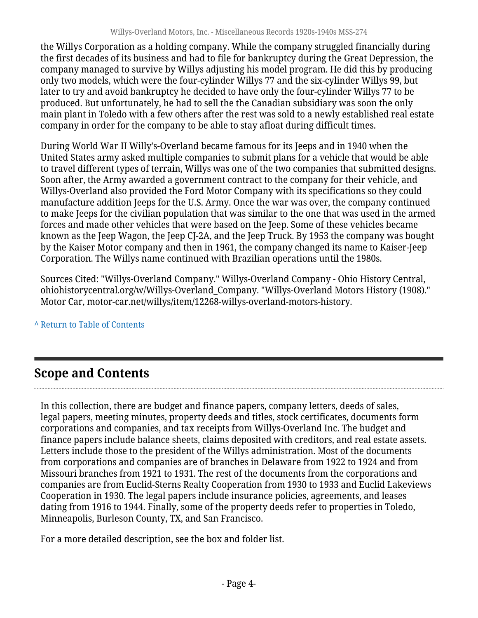the Willys Corporation as a holding company. While the company struggled financially during the first decades of its business and had to file for bankruptcy during the Great Depression, the company managed to survive by Willys adjusting his model program. He did this by producing only two models, which were the four-cylinder Willys 77 and the six-cylinder Willys 99, but later to try and avoid bankruptcy he decided to have only the four-cylinder Willys 77 to be produced. But unfortunately, he had to sell the the Canadian subsidiary was soon the only main plant in Toledo with a few others after the rest was sold to a newly established real estate company in order for the company to be able to stay afloat during difficult times.

During World War II Willy's-Overland became famous for its Jeeps and in 1940 when the United States army asked multiple companies to submit plans for a vehicle that would be able to travel different types of terrain, Willys was one of the two companies that submitted designs. Soon after, the Army awarded a government contract to the company for their vehicle, and Willys-Overland also provided the Ford Motor Company with its specifications so they could manufacture addition Jeeps for the U.S. Army. Once the war was over, the company continued to make Jeeps for the civilian population that was similar to the one that was used in the armed forces and made other vehicles that were based on the Jeep. Some of these vehicles became known as the Jeep Wagon, the Jeep CJ-2A, and the Jeep Truck. By 1953 the company was bought by the Kaiser Motor company and then in 1961, the company changed its name to Kaiser-Jeep Corporation. The Willys name continued with Brazilian operations until the 1980s.

Sources Cited: "Willys-Overland Company." Willys-Overland Company - Ohio History Central, ohiohistorycentral.org/w/Willys-Overland\_Company. "Willys-Overland Motors History (1908)." Motor Car, motor-car.net/willys/item/12268-willys-overland-motors-history.

**^** [Return to Table of Contents](#page-1-0)

# <span id="page-3-0"></span>**Scope and Contents**

In this collection, there are budget and finance papers, company letters, deeds of sales, legal papers, meeting minutes, property deeds and titles, stock certificates, documents form corporations and companies, and tax receipts from Willys-Overland Inc. The budget and finance papers include balance sheets, claims deposited with creditors, and real estate assets. Letters include those to the president of the Willys administration. Most of the documents from corporations and companies are of branches in Delaware from 1922 to 1924 and from Missouri branches from 1921 to 1931. The rest of the documents from the corporations and companies are from Euclid-Sterns Realty Cooperation from 1930 to 1933 and Euclid Lakeviews Cooperation in 1930. The legal papers include insurance policies, agreements, and leases dating from 1916 to 1944. Finally, some of the property deeds refer to properties in Toledo, Minneapolis, Burleson County, TX, and San Francisco.

For a more detailed description, see the box and folder list.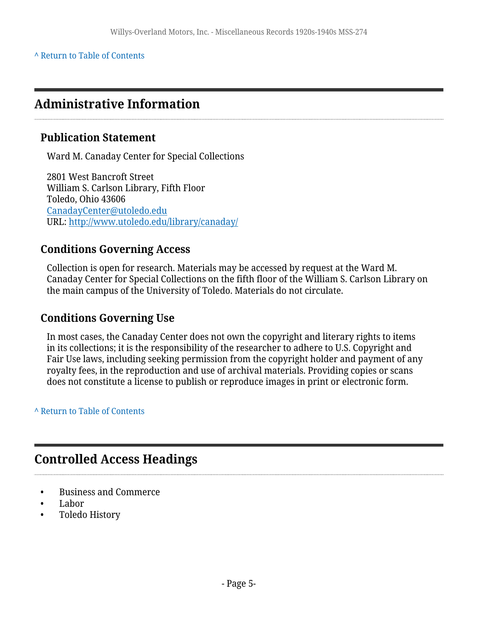#### **^** [Return to Table of Contents](#page-1-0)

### <span id="page-4-0"></span>**Administrative Information**

#### **Publication Statement**

Ward M. Canaday Center for Special Collections

2801 West Bancroft Street William S. Carlson Library, Fifth Floor Toledo, Ohio 43606 [CanadayCenter@utoledo.edu](mailto:CanadayCenter@utoledo.edu) URL:<http://www.utoledo.edu/library/canaday/>

#### **Conditions Governing Access**

Collection is open for research. Materials may be accessed by request at the Ward M. Canaday Center for Special Collections on the fifth floor of the William S. Carlson Library on the main campus of the University of Toledo. Materials do not circulate.

#### **Conditions Governing Use**

In most cases, the Canaday Center does not own the copyright and literary rights to items in its collections; it is the responsibility of the researcher to adhere to U.S. Copyright and Fair Use laws, including seeking permission from the copyright holder and payment of any royalty fees, in the reproduction and use of archival materials. Providing copies or scans does not constitute a license to publish or reproduce images in print or electronic form.

#### **^** [Return to Table of Contents](#page-1-0)

### <span id="page-4-1"></span>**Controlled Access Headings**

- Business and Commerce
- Labor
- Toledo History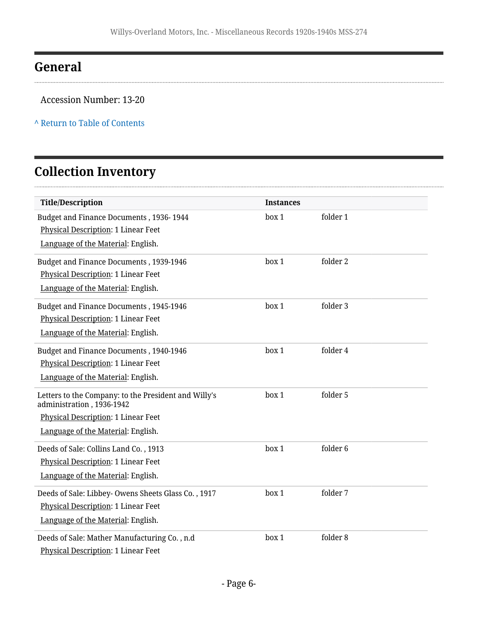### <span id="page-5-0"></span>**General**

 $\ddot{\phantom{0}}$ 

#### Accession Number: 13-20

#### **^** [Return to Table of Contents](#page-1-0)

# <span id="page-5-1"></span>**Collection Inventory**

| <b>Title/Description</b>                                                          | <b>Instances</b> |          |  |
|-----------------------------------------------------------------------------------|------------------|----------|--|
| Budget and Finance Documents, 1936-1944                                           | box 1            | folder 1 |  |
| Physical Description: 1 Linear Feet                                               |                  |          |  |
| Language of the Material: English.                                                |                  |          |  |
| Budget and Finance Documents, 1939-1946                                           | box 1            | folder 2 |  |
| Physical Description: 1 Linear Feet                                               |                  |          |  |
| Language of the Material: English.                                                |                  |          |  |
| Budget and Finance Documents, 1945-1946                                           | box 1            | folder 3 |  |
| <b>Physical Description: 1 Linear Feet</b>                                        |                  |          |  |
| Language of the Material: English.                                                |                  |          |  |
| Budget and Finance Documents, 1940-1946                                           | box 1            | folder 4 |  |
| Physical Description: 1 Linear Feet                                               |                  |          |  |
| Language of the Material: English.                                                |                  |          |  |
| Letters to the Company: to the President and Willy's<br>administration, 1936-1942 | box 1            | folder 5 |  |
| Physical Description: 1 Linear Feet                                               |                  |          |  |
| Language of the Material: English.                                                |                  |          |  |
| Deeds of Sale: Collins Land Co., 1913                                             | box 1            | folder 6 |  |
| Physical Description: 1 Linear Feet                                               |                  |          |  |
| Language of the Material: English.                                                |                  |          |  |
| Deeds of Sale: Libbey- Owens Sheets Glass Co., 1917                               | box 1            | folder 7 |  |
| Physical Description: 1 Linear Feet                                               |                  |          |  |
| Language of the Material: English.                                                |                  |          |  |
| Deeds of Sale: Mather Manufacturing Co., n.d                                      | box 1            | folder 8 |  |
| Physical Description: 1 Linear Feet                                               |                  |          |  |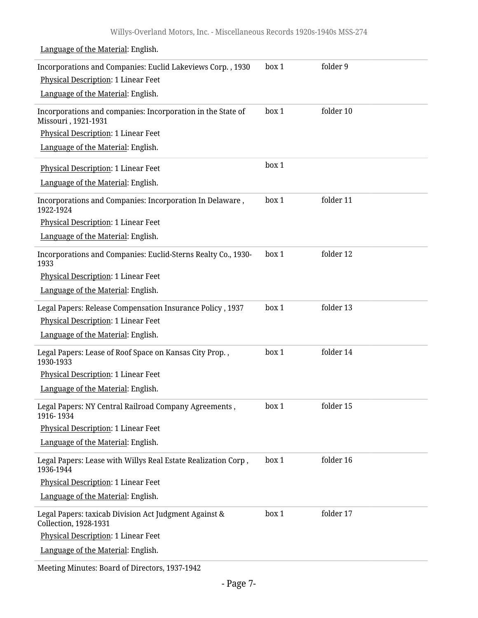Language of the Material: English.

| Incorporations and Companies: Euclid Lakeviews Corp., 1930                         | box 1 | folder 9  |
|------------------------------------------------------------------------------------|-------|-----------|
| Physical Description: 1 Linear Feet                                                |       |           |
| Language of the Material: English.                                                 |       |           |
| Incorporations and companies: Incorporation in the State of<br>Missouri, 1921-1931 | box 1 | folder 10 |
| Physical Description: 1 Linear Feet                                                |       |           |
| Language of the Material: English.                                                 |       |           |
| Physical Description: 1 Linear Feet                                                | box 1 |           |
| Language of the Material: English.                                                 |       |           |
| Incorporations and Companies: Incorporation In Delaware,<br>1922-1924              | box 1 | folder 11 |
| Physical Description: 1 Linear Feet                                                |       |           |
| Language of the Material: English.                                                 |       |           |
| Incorporations and Companies: Euclid-Sterns Realty Co., 1930-<br>1933              | box 1 | folder 12 |
| Physical Description: 1 Linear Feet                                                |       |           |
| Language of the Material: English.                                                 |       |           |
| Legal Papers: Release Compensation Insurance Policy, 1937                          | box 1 | folder 13 |
| Physical Description: 1 Linear Feet                                                |       |           |
| Language of the Material: English.                                                 |       |           |
| Legal Papers: Lease of Roof Space on Kansas City Prop.,<br>1930-1933               | box 1 | folder 14 |
| Physical Description: 1 Linear Feet                                                |       |           |
| Language of the Material: English.                                                 |       |           |
| Legal Papers: NY Central Railroad Company Agreements,<br>1916-1934                 | box 1 | folder 15 |
| Physical Description: 1 Linear Feet                                                |       |           |
| Language of the Material: English.                                                 |       |           |
| Legal Papers: Lease with Willys Real Estate Realization Corp,<br>1936-1944         | box 1 | folder 16 |
| Physical Description: 1 Linear Feet                                                |       |           |
| Language of the Material: English.                                                 |       |           |
| Legal Papers: taxicab Division Act Judgment Against &<br>Collection, 1928-1931     | box 1 | folder 17 |
| Physical Description: 1 Linear Feet                                                |       |           |
| Language of the Material: English.                                                 |       |           |

Meeting Minutes: Board of Directors, 1937-1942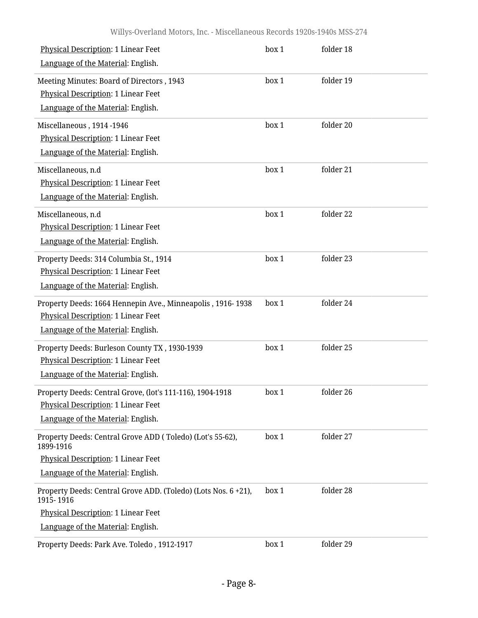| <b>Physical Description: 1 Linear Feet</b>                                  | box 1 | folder 18 |
|-----------------------------------------------------------------------------|-------|-----------|
| Language of the Material: English.                                          |       |           |
| Meeting Minutes: Board of Directors, 1943                                   | box 1 | folder 19 |
| <b>Physical Description: 1 Linear Feet</b>                                  |       |           |
| Language of the Material: English.                                          |       |           |
| Miscellaneous, 1914-1946                                                    | box 1 | folder 20 |
| <b>Physical Description: 1 Linear Feet</b>                                  |       |           |
| Language of the Material: English.                                          |       |           |
| Miscellaneous, n.d                                                          | box 1 | folder 21 |
| Physical Description: 1 Linear Feet                                         |       |           |
| Language of the Material: English.                                          |       |           |
| Miscellaneous, n.d                                                          | box 1 | folder 22 |
| Physical Description: 1 Linear Feet                                         |       |           |
| Language of the Material: English.                                          |       |           |
| Property Deeds: 314 Columbia St., 1914                                      | box 1 | folder 23 |
| Physical Description: 1 Linear Feet                                         |       |           |
| Language of the Material: English.                                          |       |           |
| Property Deeds: 1664 Hennepin Ave., Minneapolis, 1916-1938                  | box 1 | folder 24 |
| Physical Description: 1 Linear Feet                                         |       |           |
| Language of the Material: English.                                          |       |           |
| Property Deeds: Burleson County TX, 1930-1939                               | box 1 | folder 25 |
| Physical Description: 1 Linear Feet                                         |       |           |
| Language of the Material: English.                                          |       |           |
| Property Deeds: Central Grove, (lot's 111-116), 1904-1918                   | box 1 | folder 26 |
| Physical Description: 1 Linear Feet                                         |       |           |
| Language of the Material: English.                                          |       |           |
| Property Deeds: Central Grove ADD (Toledo) (Lot's 55-62),<br>1899-1916      | box 1 | folder 27 |
| Physical Description: 1 Linear Feet                                         |       |           |
| Language of the Material: English.                                          |       |           |
| Property Deeds: Central Grove ADD. (Toledo) (Lots Nos. 6 +21),<br>1915-1916 | box 1 | folder 28 |
| Physical Description: 1 Linear Feet                                         |       |           |
| Language of the Material: English.                                          |       |           |
| Property Deeds: Park Ave. Toledo, 1912-1917                                 | box 1 | folder 29 |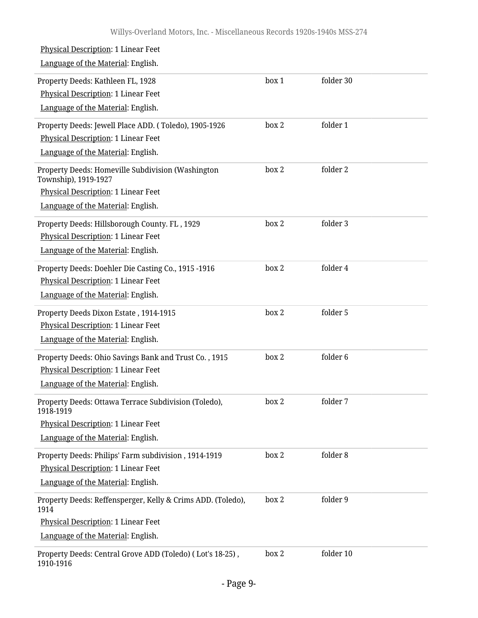| Physical Description: 1 Linear Feet<br>Language of the Material: English.                                                                              |       |                     |  |
|--------------------------------------------------------------------------------------------------------------------------------------------------------|-------|---------------------|--|
| Property Deeds: Kathleen FL, 1928<br>Physical Description: 1 Linear Feet<br>Language of the Material: English.                                         | box 1 | folder 30           |  |
| Property Deeds: Jewell Place ADD. (Toledo), 1905-1926<br><b>Physical Description: 1 Linear Feet</b><br>Language of the Material: English.              | box 2 | folder 1            |  |
| Property Deeds: Homeville Subdivision (Washington<br>Township), 1919-1927<br>Physical Description: 1 Linear Feet<br>Language of the Material: English. | box 2 | folder 2            |  |
| Property Deeds: Hillsborough County. FL, 1929<br>Physical Description: 1 Linear Feet<br>Language of the Material: English.                             | box 2 | folder 3            |  |
| Property Deeds: Doehler Die Casting Co., 1915 -1916<br>Physical Description: 1 Linear Feet<br>Language of the Material: English.                       | box 2 | folder 4            |  |
| Property Deeds Dixon Estate, 1914-1915<br>Physical Description: 1 Linear Feet<br>Language of the Material: English.                                    | box 2 | folder 5            |  |
| Property Deeds: Ohio Savings Bank and Trust Co., 1915<br>Physical Description: 1 Linear Feet<br>Language of the Material: English.                     | box 2 | folder <sub>6</sub> |  |
| Property Deeds: Ottawa Terrace Subdivision (Toledo),<br>1918-1919<br>Physical Description: 1 Linear Feet<br>Language of the Material: English.         | box 2 | folder 7            |  |
| Property Deeds: Philips' Farm subdivision, 1914-1919<br>Physical Description: 1 Linear Feet<br>Language of the Material: English.                      | box 2 | folder 8            |  |
| Property Deeds: Reffensperger, Kelly & Crims ADD. (Toledo),<br>1914<br>Physical Description: 1 Linear Feet<br>Language of the Material: English.       | box 2 | folder 9            |  |
| Property Deeds: Central Grove ADD (Toledo) (Lot's 18-25),<br>1910-1916                                                                                 | box 2 | folder 10           |  |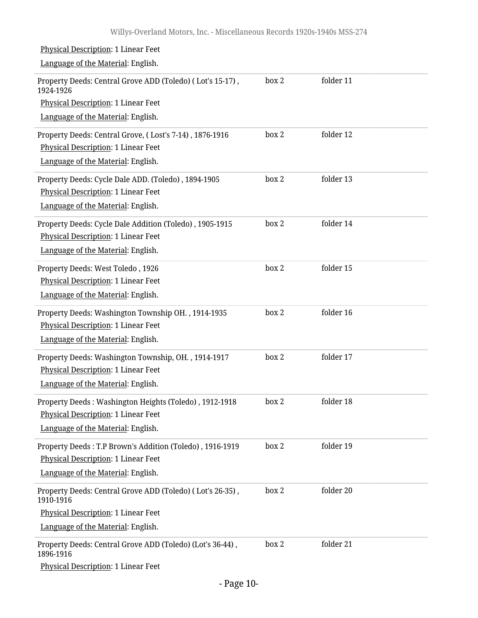| Physical Description: 1 Linear Feet                                                                                                   |       |           |  |
|---------------------------------------------------------------------------------------------------------------------------------------|-------|-----------|--|
| Language of the Material: English.                                                                                                    |       |           |  |
| Property Deeds: Central Grove ADD (Toledo) (Lot's 15-17),<br>1924-1926                                                                | box 2 | folder 11 |  |
| Physical Description: 1 Linear Feet                                                                                                   |       |           |  |
| Language of the Material: English.                                                                                                    |       |           |  |
| Property Deeds: Central Grove, (Lost's 7-14), 1876-1916<br>Physical Description: 1 Linear Feet                                        | box 2 | folder 12 |  |
| Language of the Material: English.                                                                                                    |       |           |  |
| Property Deeds: Cycle Dale ADD. (Toledo), 1894-1905<br>Physical Description: 1 Linear Feet<br>Language of the Material: English.      | box 2 | folder 13 |  |
| Property Deeds: Cycle Dale Addition (Toledo), 1905-1915<br>Physical Description: 1 Linear Feet<br>Language of the Material: English.  | box 2 | folder 14 |  |
| Property Deeds: West Toledo, 1926<br>Physical Description: 1 Linear Feet<br>Language of the Material: English.                        | box 2 | folder 15 |  |
| Property Deeds: Washington Township OH., 1914-1935<br>Physical Description: 1 Linear Feet<br>Language of the Material: English.       | box 2 | folder 16 |  |
| Property Deeds: Washington Township, OH., 1914-1917<br>Physical Description: 1 Linear Feet<br>Language of the Material: English.      | box 2 | folder 17 |  |
| Property Deeds: Washington Heights (Toledo), 1912-1918<br>Physical Description: 1 Linear Feet<br>Language of the Material: English.   | box 2 | folder 18 |  |
| Property Deeds: T.P Brown's Addition (Toledo), 1916-1919<br>Physical Description: 1 Linear Feet<br>Language of the Material: English. | box 2 | folder 19 |  |
| Property Deeds: Central Grove ADD (Toledo) (Lot's 26-35),<br>1910-1916<br>Physical Description: 1 Linear Feet                         | box 2 | folder 20 |  |
| Language of the Material: English.                                                                                                    |       |           |  |
| Property Deeds: Central Grove ADD (Toledo) (Lot's 36-44),<br>1896-1916<br>Physical Description: 1 Linear Feet                         | box 2 | folder 21 |  |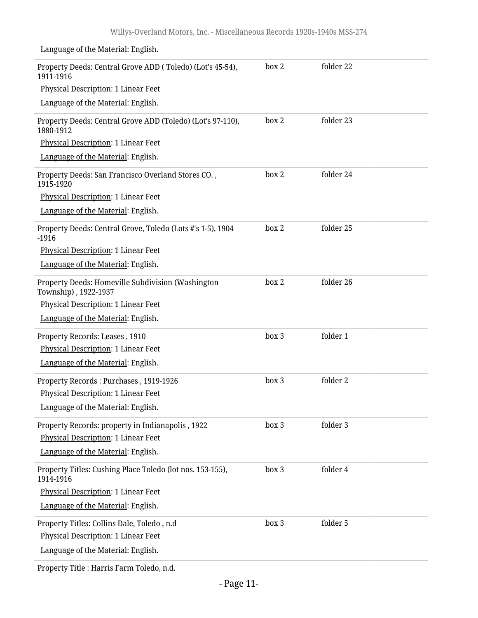| Property Deeds: Central Grove ADD (Toledo) (Lot's 45-54),<br>1911-1916    | box 2 | folder 22 |
|---------------------------------------------------------------------------|-------|-----------|
| Physical Description: 1 Linear Feet                                       |       |           |
| Language of the Material: English.                                        |       |           |
| Property Deeds: Central Grove ADD (Toledo) (Lot's 97-110),<br>1880-1912   | box 2 | folder 23 |
| Physical Description: 1 Linear Feet                                       |       |           |
| Language of the Material: English.                                        |       |           |
| Property Deeds: San Francisco Overland Stores CO.,<br>1915-1920           | box 2 | folder 24 |
| Physical Description: 1 Linear Feet                                       |       |           |
| Language of the Material: English.                                        |       |           |
| Property Deeds: Central Grove, Toledo (Lots #'s 1-5), 1904<br>$-1916$     | box 2 | folder 25 |
| Physical Description: 1 Linear Feet                                       |       |           |
| Language of the Material: English.                                        |       |           |
| Property Deeds: Homeville Subdivision (Washington<br>Township), 1922-1937 | box 2 | folder 26 |
| Physical Description: 1 Linear Feet                                       |       |           |
| Language of the Material: English.                                        |       |           |
| Property Records: Leases, 1910                                            | box 3 | folder 1  |
| Physical Description: 1 Linear Feet                                       |       |           |
| Language of the Material: English.                                        |       |           |
| Property Records: Purchases, 1919-1926                                    | box 3 | folder 2  |
| <b>Physical Description: 1 Linear Feet</b>                                |       |           |
| Language of the Material: English.                                        |       |           |
| Property Records: property in Indianapolis, 1922                          | box 3 | folder 3  |
| Physical Description: 1 Linear Feet                                       |       |           |
| Language of the Material: English.                                        |       |           |
| Property Titles: Cushing Place Toledo (lot nos. 153-155),<br>1914-1916    | box 3 | folder 4  |
| Physical Description: 1 Linear Feet                                       |       |           |
| Language of the Material: English.                                        |       |           |
| Property Titles: Collins Dale, Toledo, n.d                                | box 3 | folder 5  |
| Physical Description: 1 Linear Feet                                       |       |           |
| Language of the Material: English.                                        |       |           |
|                                                                           |       |           |

Language of the Material: English.

Property Title : Harris Farm Toledo, n.d.